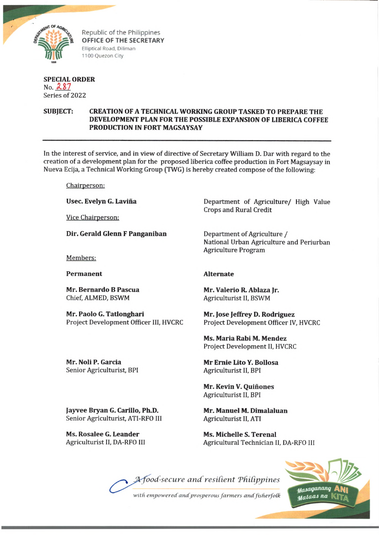

Republic of the Philippines **OFFICE OF THE SECRETARY Elliptical Road, Diliman 1100 Q uezon City**

## **SPECIAL ORDER No. £ S 7 Series of 2022**

# **SUBJECT: CREATION OF A TECHNICAL WORKING GROUP TASKED TO PREPARE THE DEVELOPMENT PLAN FOR THE POSSIBLE EXPANSION OF LIBERICA COFFEE PRODUCTION IN FORT MAGSAYSAY**

**In the interest of service, and in view of directive of Secretary William D. Dar with regard to the creation of a development plan for the proposed liberica coffee production in Fort Magsaysay in Nueva Ecija, a Technical Working Group (TWG) is hereby created compose of the following:**

**Chairperson:**

**Usee. Evelyn G. Lavina**

**Vice Chairperson:**

**Dir. Gerald Glenn F Panganiban**

**Members:**

**Permanent**

**Mr. Bernardo B Pascua Chief, ALMED, BSWM**

**Mr. Paolo G. Tatlonghari Project Development Officer III, HVCRC** **Department of Agriculture/ High Value Crops and Rural Credit**

**Department of Agriculture / National Urban Agriculture and Periurban Agriculture Program**

## **Alternate**

**Mr. Valerio R. Ablaza Jr. Agriculturist II, BSWM**

**Mr. Jose Jeffrey D. Rodriguez Project Development Officer IV, HVCRC**

**Ms. Maria Rabi M. Mendez Project Development II, HVCRC**

**Mr Ernie Lito Y. Bollosa Agriculturist II, BPI**

**Mr. Kevin V. Quinones Agriculturist II, BPI**

**Mr. Manuel M. Dimalaluan Agriculturist II, ATI**

**Ms. Michelle S. Terenal Agricultural Technician II, DA-RFO III**

A food-secure and resilient Philippines



with empowered and prosperous farmers and fisherfolk

**Mr. Noli P. Garcia Senior Agriculturist, BPI**

**Jayvee Bryan G. Carillo, Ph.D. Senior Agriculturist, ATI-RFO III**

**Ms. Rosalee G. Leander Agriculturist II, DA-RFO III**